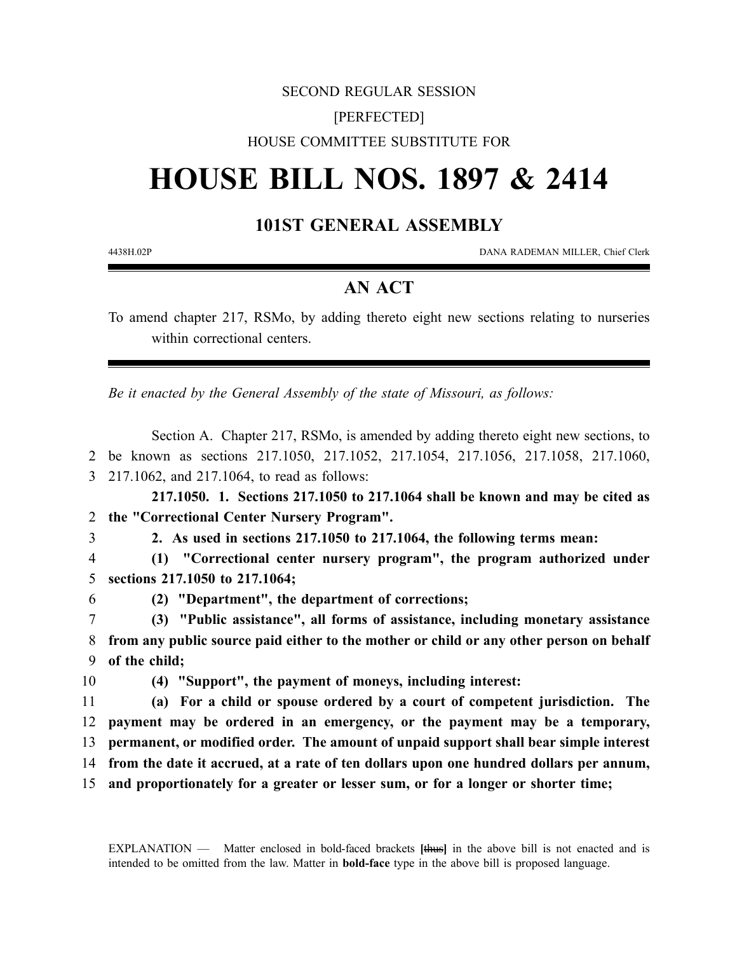### SECOND REGULAR SESSION

## [PERFECTED]

## HOUSE COMMITTEE SUBSTITUTE FOR

# **HOUSE BILL NOS. 1897 & 2414**

# **101ST GENERAL ASSEMBLY**

4438H.02P DANA RADEMAN MILLER, Chief Clerk

# **AN ACT**

To amend chapter 217, RSMo, by adding thereto eight new sections relating to nurseries within correctional centers.

*Be it enacted by the General Assembly of the state of Missouri, as follows:*

Section A. Chapter 217, RSMo, is amended by adding thereto eight new sections, to 2 be known as sections 217.1050, 217.1052, 217.1054, 217.1056, 217.1058, 217.1060, 3 217.1062, and 217.1064, to read as follows:

**217.1050. 1. Sections 217.1050 to 217.1064 shall be known and may be cited as** 2 **the "Correctional Center Nursery Program".**

3 **2. As used in sections 217.1050 to 217.1064, the following terms mean:**

4 **(1) "Correctional center nursery program", the program authorized under** 5 **sections 217.1050 to 217.1064;**

6 **(2) "Department", the department of corrections;**

7 **(3) "Public assistance", all forms of assistance, including monetary assistance** 8 **from any public source paid either to the mother or child or any other person on behalf** 9 **of the child;**

10 **(4) "Support", the payment of moneys, including interest:**

 **(a) For a child or spouse ordered by a court of competent jurisdiction. The payment may be ordered in an emergency, or the payment may be a temporary, permanent, or modified order. The amount of unpaid support shall bear simple interest from the date it accrued, at a rate of ten dollars upon one hundred dollars per annum, and proportionately for a greater or lesser sum, or for a longer or shorter time;**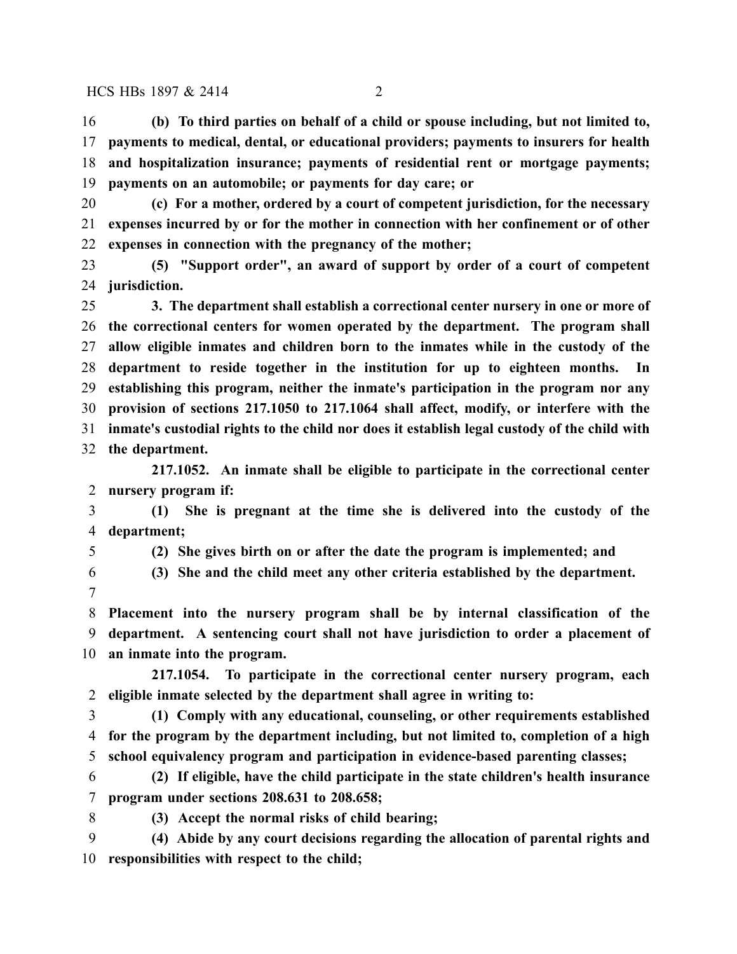#### HCS HBs 1897 & 2414 2

 **(b) To third parties on behalf of a child or spouse including, but not limited to, payments to medical, dental, or educational providers; payments to insurers for health and hospitalization insurance; payments of residential rent or mortgage payments; payments on an automobile; or payments for day care; or**

 **(c) For a mother, ordered by a court of competent jurisdiction, for the necessary expenses incurred by or for the mother in connection with her confinement or of other expenses in connection with the pregnancy of the mother;**

 **(5) "Support order", an award of support by order of a court of competent jurisdiction.**

 **3. The department shall establish a correctional center nursery in one or more of the correctional centers for women operated by the department. The program shall allow eligible inmates and children born to the inmates while in the custody of the department to reside together in the institution for up to eighteen months. In establishing this program, neither the inmate's participation in the program nor any provision of sections 217.1050 to 217.1064 shall affect, modify, or interfere with the inmate's custodial rights to the child nor does it establish legal custody of the child with the department.**

**217.1052. An inmate shall be eligible to participate in the correctional center nursery program if:**

 **(1) She is pregnant at the time she is delivered into the custody of the department;**

- 
- **(2) She gives birth on or after the date the program is implemented; and**
- **(3) She and the child meet any other criteria established by the department.**
- 

 **Placement into the nursery program shall be by internal classification of the department. A sentencing court shall not have jurisdiction to order a placement of an inmate into the program.**

**217.1054. To participate in the correctional center nursery program, each eligible inmate selected by the department shall agree in writing to:**

- **(1) Comply with any educational, counseling, or other requirements established for the program by the department including, but not limited to, completion of a high school equivalency program and participation in evidence-based parenting classes;**
- **(2) If eligible, have the child participate in the state children's health insurance program under sections 208.631 to 208.658;**
- 

**(3) Accept the normal risks of child bearing;**

 **(4) Abide by any court decisions regarding the allocation of parental rights and responsibilities with respect to the child;**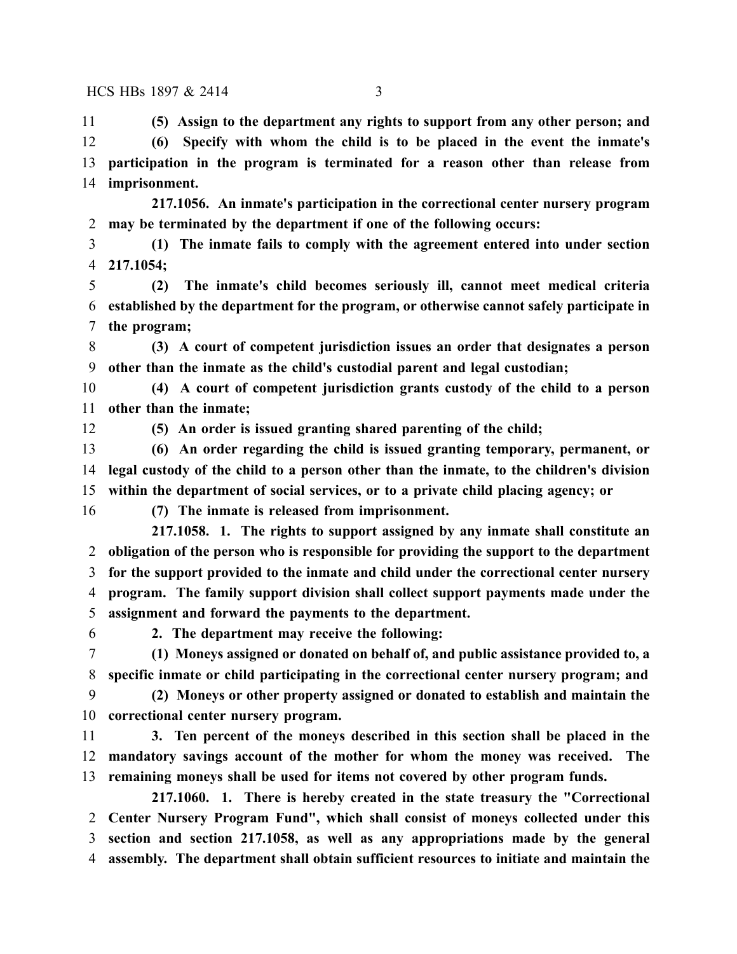**(5) Assign to the department any rights to support from any other person; and (6) Specify with whom the child is to be placed in the event the inmate's participation in the program is terminated for a reason other than release from imprisonment.**

**217.1056. An inmate's participation in the correctional center nursery program may be terminated by the department if one of the following occurs:**

 **(1) The inmate fails to comply with the agreement entered into under section 217.1054;**

 **(2) The inmate's child becomes seriously ill, cannot meet medical criteria established by the department for the program, or otherwise cannot safely participate in the program;**

 **(3) A court of competent jurisdiction issues an order that designates a person other than the inmate as the child's custodial parent and legal custodian;**

 **(4) A court of competent jurisdiction grants custody of the child to a person other than the inmate;**

**(5) An order is issued granting shared parenting of the child;**

 **(6) An order regarding the child is issued granting temporary, permanent, or legal custody of the child to a person other than the inmate, to the children's division within the department of social services, or to a private child placing agency; or**

**(7) The inmate is released from imprisonment.**

**217.1058. 1. The rights to support assigned by any inmate shall constitute an obligation of the person who is responsible for providing the support to the department for the support provided to the inmate and child under the correctional center nursery program. The family support division shall collect support payments made under the assignment and forward the payments to the department.**

**2. The department may receive the following:**

 **(1) Moneys assigned or donated on behalf of, and public assistance provided to, a specific inmate or child participating in the correctional center nursery program; and**

 **(2) Moneys or other property assigned or donated to establish and maintain the correctional center nursery program.**

 **3. Ten percent of the moneys described in this section shall be placed in the mandatory savings account of the mother for whom the money was received. The remaining moneys shall be used for items not covered by other program funds.**

**217.1060. 1. There is hereby created in the state treasury the "Correctional Center Nursery Program Fund", which shall consist of moneys collected under this section and section 217.1058, as well as any appropriations made by the general assembly. The department shall obtain sufficient resources to initiate and maintain the**